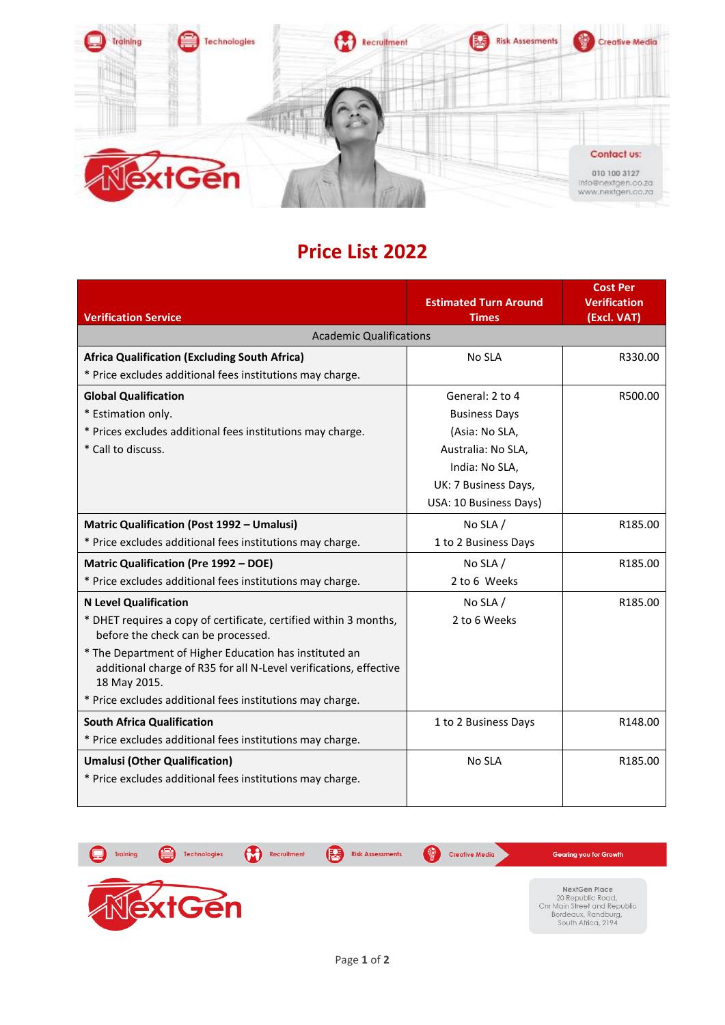

## **Price List 2022**

|                                                                                                                                             | <b>Estimated Turn Around</b> | <b>Cost Per</b><br><b>Verification</b> |
|---------------------------------------------------------------------------------------------------------------------------------------------|------------------------------|----------------------------------------|
| <b>Verification Service</b>                                                                                                                 | <b>Times</b>                 | (Excl. VAT)                            |
| <b>Academic Qualifications</b>                                                                                                              |                              |                                        |
| <b>Africa Qualification (Excluding South Africa)</b>                                                                                        | No SLA                       | R330.00                                |
| * Price excludes additional fees institutions may charge.                                                                                   |                              |                                        |
| <b>Global Qualification</b>                                                                                                                 | General: 2 to 4              | R500.00                                |
| * Estimation only.                                                                                                                          | <b>Business Days</b>         |                                        |
| * Prices excludes additional fees institutions may charge.                                                                                  | (Asia: No SLA,               |                                        |
| * Call to discuss.                                                                                                                          | Australia: No SLA,           |                                        |
|                                                                                                                                             | India: No SLA,               |                                        |
|                                                                                                                                             | UK: 7 Business Days,         |                                        |
|                                                                                                                                             | USA: 10 Business Days)       |                                        |
| <b>Matric Qualification (Post 1992 - Umalusi)</b>                                                                                           | No SLA $/$                   | R185.00                                |
| * Price excludes additional fees institutions may charge.                                                                                   | 1 to 2 Business Days         |                                        |
| <b>Matric Qualification (Pre 1992 - DOE)</b>                                                                                                | No SLA /                     | R185.00                                |
| * Price excludes additional fees institutions may charge.                                                                                   | 2 to 6 Weeks                 |                                        |
| <b>N Level Qualification</b>                                                                                                                | No SLA $/$                   | R185.00                                |
| * DHET requires a copy of certificate, certified within 3 months,<br>before the check can be processed.                                     | 2 to 6 Weeks                 |                                        |
| * The Department of Higher Education has instituted an<br>additional charge of R35 for all N-Level verifications, effective<br>18 May 2015. |                              |                                        |
| * Price excludes additional fees institutions may charge.                                                                                   |                              |                                        |
| <b>South Africa Qualification</b>                                                                                                           | 1 to 2 Business Days         | R148.00                                |
| * Price excludes additional fees institutions may charge.                                                                                   |                              |                                        |
| <b>Umalusi (Other Qualification)</b>                                                                                                        | No SLA                       | R185.00                                |
| * Price excludes additional fees institutions may charge.                                                                                   |                              |                                        |
|                                                                                                                                             |                              |                                        |